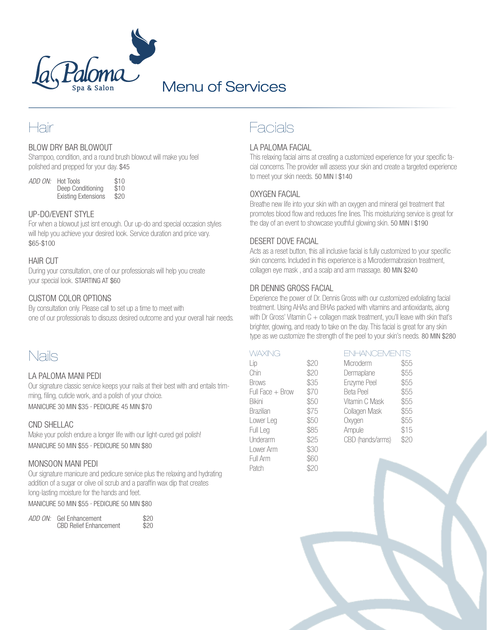

# Menu of Services

# Hair

# BLOW DRY BAR BLOWOUT

Shampoo, condition, and a round brush blowout will make you feel polished and prepped for your day. \$45

*ADD ON:* Hot Tools \$10<br>Deen Conditioning \$10 Deep Conditioning \$10<br>Existing Extensions \$20 Existing Extensions

# UP-DO/EVENT STYLE

For when a blowout just isnt enough. Our up-do and special occasion styles will help you achieve your desired look. Service duration and price vary. \$65-\$100

## HAIR CUT

During your consultation, one of our professionals will help you create your special look. STARTING AT \$60

## CUSTOM COLOR OPTIONS

By consultation only. Please call to set up a time to meet with one of our professionals to discuss desired outcome and your overall hair needs.

# Nails

#### LA PALOMA MANI PEDI

Our signature classic service keeps your nails at their best with and entails trimming, filing, cuticle work, and a polish of your choice. MANICURE 30 MIN \$35 · PEDICURE 45 MIN \$70

## CND SHELLAC

Make your polish endure a longer life with our light-cured gel polish! MANICURE 50 MIN \$55 · PEDICURE 50 MIN \$80

## MONSOON MANI PEDI

Our signature manicure and pedicure service plus the relaxing and hydrating addition of a sugar or olive oil scrub and a paraffin wax dip that creates long-lasting moisture for the hands and feet.

MANICURE 50 MIN \$55 · PEDICURE 50 MIN \$80

|  | ADD ON: Gel Enhancement<br><b>CBD Relief Enhancement</b> | \$20<br>\$20 |
|--|----------------------------------------------------------|--------------|
|--|----------------------------------------------------------|--------------|

# Facials

#### LA PALOMA FACIAL

This relaxing facial aims at creating a customized experience for your specific facial concerns. The provider will assess your skin and create a targeted experience to meet your skin needs. 50 MIN | \$140

## OXYGEN FACIAL

Breathe new life into your skin with an oxygen and mineral gel treatment that promotes blood flow and reduces fine lines. This moisturizing service is great for the day of an event to showcase youthful glowing skin. 50 MIN | \$190

#### DESERT DOVE FACIAL

Acts as a reset button, this all inclusive facial is fully customized to your specific skin concerns. Included in this experience is a Microdermabrasion treatment, collagen eye mask , and a scalp and arm massage. 80 MIN \$240

#### DR DENNIS GROSS FACIAL

Experience the power of Dr. Dennis Gross with our customized exfoliating facial treatment. Using AHAs and BHAs packed with vitamins and antioxidants, along with Dr Gross' Vitamin  $C +$  collagen mask treatment, you'll leave with skin that's brighter, glowing, and ready to take on the day. This facial is great for any skin type as we customize the strength of the peel to your skin's needs. 80 MIN \$280

| WAXING           |      | <b>ENHANCEMENTS</b> |      |
|------------------|------|---------------------|------|
| Lip              | \$20 | Microderm           | \$55 |
| Chin             | \$20 | Dermaplane          | \$55 |
| <b>Brows</b>     | \$35 | Enzyme Peel         | \$55 |
| Full Face + Brow | \$70 | <b>Beta Peel</b>    | \$55 |
| <b>Bikini</b>    | \$50 | Vitamin C Mask      | \$55 |
| <b>Brazilian</b> | \$75 | Collagen Mask       | \$55 |
| Lower Leg        | \$50 | Oxygen              | \$55 |
| Full Leg         | \$85 | Ampule              | \$15 |
| Underarm         | \$25 | CBD (hands/arms)    | \$20 |
| Lower Arm        | \$30 |                     |      |
| Full Arm         | \$60 |                     |      |
| Patch            | \$20 |                     |      |